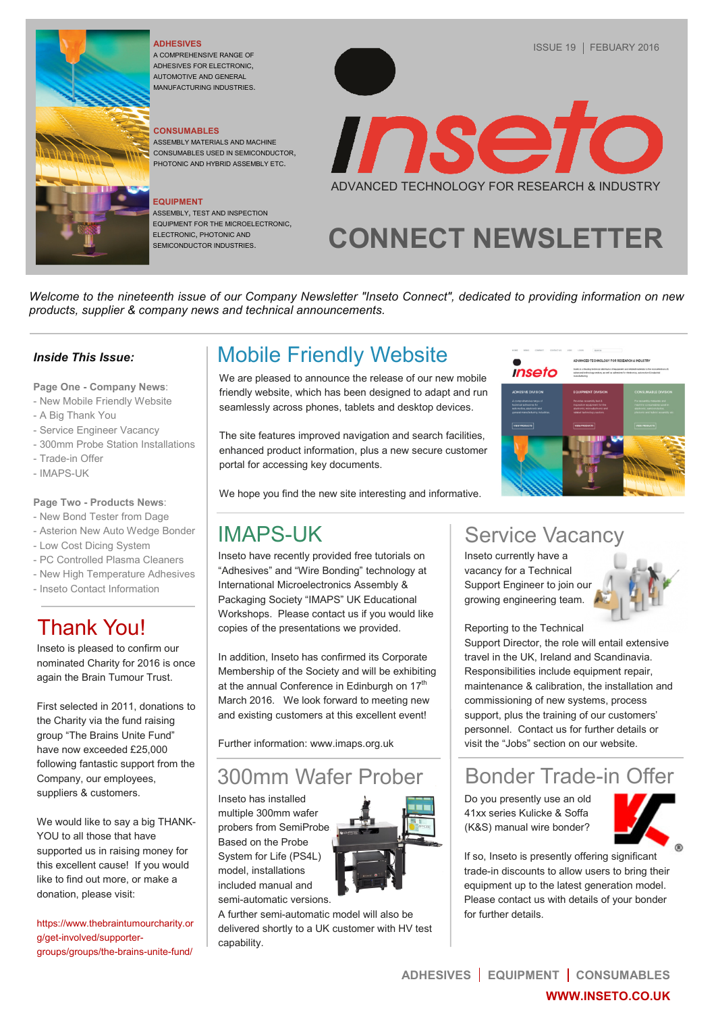

#### **ADHESIVES**

A COMPREHENSIVE RANGE OF ADHESIVES FOR ELECTRONIC, AUTOMOTIVE AND GENERAL MANUFACTURING INDUSTRIES.

#### **CONSUMABLES**

ASSEMBLY MATERIALS AND MACHINE CONSUMABLES USED IN SEMICONDUCTOR, PHOTONIC AND HYBRID ASSEMBLY ETC.

#### **EQUIPMENT**

ASSEMBLY, TEST AND INSPECTION EQUIPMENT FOR THE MICROELECTRONIC, ELECTRONIC, PHOTONIC AND SEMICONDUCTOR INDUSTRIES.



# **CONNECT NEWSLETTER**

*Welcome to the nineteenth issue of our Company Newsletter "Inseto Connect", dedicated to providing information on new products, supplier & company news and technical announcements.* 

#### *Inside This Issue:*

**Page One - Company News**:

- [New Mobile Friendly Website](#page-0-0)
- [A Big Thank You](#page-0-1)
- [Service Engineer Vacancy](#page-0-2)
- [300mm Probe Station Installations](#page-0-3)
- [Trade-in Offer](#page-0-4)
- [IMAPS-UK](#page-0-5)

#### **Page Two - [Products News](#page-1-0)**:

- [New Bond Tester from Dage](#page-1-1)
- [Asterion New Auto Wedge Bonder](#page-1-2)
- [Low Cost Dicing System](#page-1-3)
- [PC Controlled Plasma Cleaners](#page-1-4)
- [New High Temperature Adhesives](#page-1-5)
- [Inseto Contact Information](#page-1-6)

## <span id="page-0-1"></span>Thank You!

Inseto is pleased to confirm our nominated Charity for 2016 is once again the Brain Tumour Trust.

First selected in 2011, donations to the Charity via the fund raising group "The Brains Unite Fund" have now exceeded £25,000 following fantastic support from the Company, our employees, suppliers & customers.

We would like to say a big THANK-YOU to all those that have supported us in raising money for this excellent cause! If you would like to find out more, or make a donation, please visit:

[https://www.thebraintumourcharity.or](https://www.thebraintumourcharity.org/get-involved/supporter-groups/groups/the-brains-unite-fund/) [g/get-involved/supporter](https://www.thebraintumourcharity.org/get-involved/supporter-groups/groups/the-brains-unite-fund/)[groups/groups/the-brains-unite-fund/](https://www.thebraintumourcharity.org/get-involved/supporter-groups/groups/the-brains-unite-fund/)

## <span id="page-0-0"></span>Mobile Friendly Website

We are pleased to announce the release of our new mobile friendly website, which has been designed to adapt and run seamlessly across phones, tablets and desktop devices.

The site features improved navigation and search facilities, enhanced product information, plus a new secure customer portal for accessing key documents.

We hope you find the new site interesting and informative.

### <span id="page-0-5"></span>IMAPS-UK

Inseto have recently provided free tutorials on "Adhesives" and "Wire Bonding" technology at International Microelectronics Assembly & Packaging Society "IMAPS" UK Educational Workshops. Please contact us if you would like copies of the presentations we provided.

In addition, Inseto has confirmed its Corporate Membership of the Society and will be exhibiting at the annual Conference in Edinburgh on 17<sup>th</sup> March 2016. We look forward to meeting new and existing customers at this excellent event!

Further information: www.imaps.org.uk

#### <span id="page-0-3"></span>300mm Wafer Prober

Inseto has installed multiple 300mm wafer probers from SemiProbe. Based on the Probe System for Life (PS4L) model, installations included manual and semi-automatic versions.



A further semi-automatic model will also be delivered shortly to a UK customer with HV test capability.

## <span id="page-0-2"></span>Service Vacancy

*Inseto* 

Inseto currently have a vacancy for a Technical Support Engineer to join our growing engineering team.



#### Reporting to the Technical

Support Director, the role will entail extensive travel in the UK, Ireland and Scandinavia. Responsibilities include equipment repair, maintenance & calibration, the installation and commissioning of new systems, process support, plus the training of our customers' personnel. Contact us for further details or visit the "Jobs" section on our website.

#### <span id="page-0-4"></span>Bonder Trade-in Offer

Do you presently use an old 41xx series Kulicke & Soffa (K&S) manual wire bonder?



If so, Inseto is presently offering significant trade-in discounts to allow users to bring their equipment up to the latest generation model. Please contact us with details of your bonder for further details.